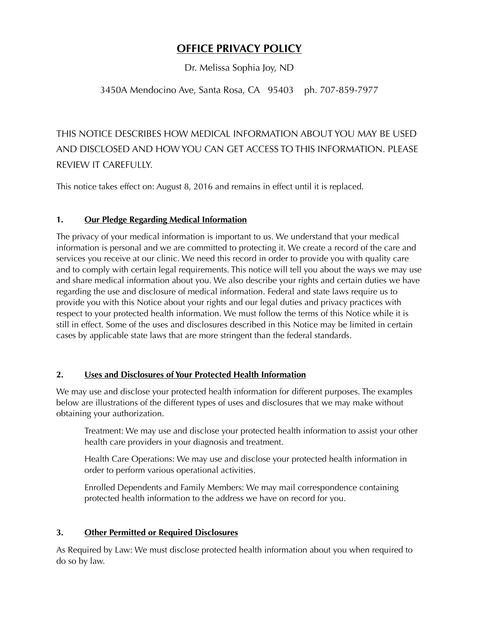## **OFFICE PRIVACY POLICY**

Dr. Melissa Sophia Joy, ND

## 3450A Mendocino Ave, Santa Rosa, CA 95403 ph. 707-859-7977

# THIS NOTICE DESCRIBES HOW MEDICAL INFORMATION ABOUT YOU MAY BE USED AND DISCLOSED AND HOW YOU CAN GET ACCESS TO THIS INFORMATION. PLEASE REVIEW IT CAREFULLY.

This notice takes effect on: August 8, 2016 and remains in effect until it is replaced.

#### **1. Our Pledge Regarding Medical Information**

The privacy of your medical information is important to us. We understand that your medical information is personal and we are committed to protecting it. We create a record of the care and services you receive at our clinic. We need this record in order to provide you with quality care and to comply with certain legal requirements. This notice will tell you about the ways we may use and share medical information about you. We also describe your rights and certain duties we have regarding the use and disclosure of medical information. Federal and state laws require us to provide you with this Notice about your rights and our legal duties and privacy practices with respect to your protected health information. We must follow the terms of this Notice while it is still in effect. Some of the uses and disclosures described in this Notice may be limited in certain cases by applicable state laws that are more stringent than the federal standards.

#### **2. Uses and Disclosures of Your Protected Health Information**

We may use and disclose your protected health information for different purposes. The examples below are illustrations of the different types of uses and disclosures that we may make without obtaining your authorization.

Treatment: We may use and disclose your protected health information to assist your other health care providers in your diagnosis and treatment.

Health Care Operations: We may use and disclose your protected health information in order to perform various operational activities.

Enrolled Dependents and Family Members: We may mail correspondence containing protected health information to the address we have on record for you.

#### **3. Other Permitted or Required Disclosures**

As Required by Law: We must disclose protected health information about you when required to do so by law.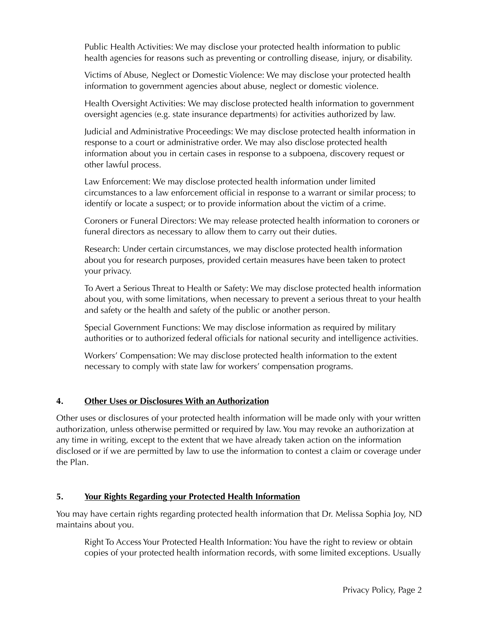Public Health Activities: We may disclose your protected health information to public health agencies for reasons such as preventing or controlling disease, injury, or disability.

Victims of Abuse, Neglect or Domestic Violence: We may disclose your protected health information to government agencies about abuse, neglect or domestic violence.

Health Oversight Activities: We may disclose protected health information to government oversight agencies (e.g. state insurance departments) for activities authorized by law.

Judicial and Administrative Proceedings: We may disclose protected health information in response to a court or administrative order. We may also disclose protected health information about you in certain cases in response to a subpoena, discovery request or other lawful process.

Law Enforcement: We may disclose protected health information under limited circumstances to a law enforcement official in response to a warrant or similar process; to identify or locate a suspect; or to provide information about the victim of a crime.

Coroners or Funeral Directors: We may release protected health information to coroners or funeral directors as necessary to allow them to carry out their duties.

Research: Under certain circumstances, we may disclose protected health information about you for research purposes, provided certain measures have been taken to protect your privacy.

To Avert a Serious Threat to Health or Safety: We may disclose protected health information about you, with some limitations, when necessary to prevent a serious threat to your health and safety or the health and safety of the public or another person.

Special Government Functions: We may disclose information as required by military authorities or to authorized federal officials for national security and intelligence activities.

Workers' Compensation: We may disclose protected health information to the extent necessary to comply with state law for workers' compensation programs.

#### **4. Other Uses or Disclosures With an Authorization**

Other uses or disclosures of your protected health information will be made only with your written authorization, unless otherwise permitted or required by law. You may revoke an authorization at any time in writing, except to the extent that we have already taken action on the information disclosed or if we are permitted by law to use the information to contest a claim or coverage under the Plan.

#### **5. Your Rights Regarding your Protected Health Information**

You may have certain rights regarding protected health information that Dr. Melissa Sophia Joy, ND maintains about you.

Right To Access Your Protected Health Information: You have the right to review or obtain copies of your protected health information records, with some limited exceptions. Usually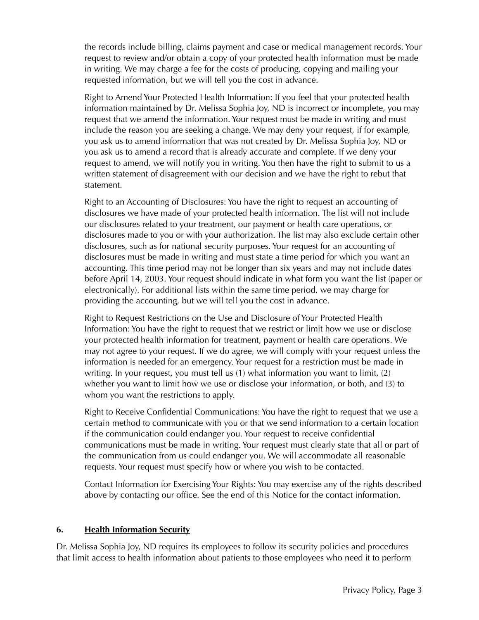the records include billing, claims payment and case or medical management records. Your request to review and/or obtain a copy of your protected health information must be made in writing. We may charge a fee for the costs of producing, copying and mailing your requested information, but we will tell you the cost in advance.

Right to Amend Your Protected Health Information: If you feel that your protected health information maintained by Dr. Melissa Sophia Joy, ND is incorrect or incomplete, you may request that we amend the information. Your request must be made in writing and must include the reason you are seeking a change. We may deny your request, if for example, you ask us to amend information that was not created by Dr. Melissa Sophia Joy, ND or you ask us to amend a record that is already accurate and complete. If we deny your request to amend, we will notify you in writing. You then have the right to submit to us a written statement of disagreement with our decision and we have the right to rebut that statement.

Right to an Accounting of Disclosures: You have the right to request an accounting of disclosures we have made of your protected health information. The list will not include our disclosures related to your treatment, our payment or health care operations, or disclosures made to you or with your authorization. The list may also exclude certain other disclosures, such as for national security purposes. Your request for an accounting of disclosures must be made in writing and must state a time period for which you want an accounting. This time period may not be longer than six years and may not include dates before April 14, 2003. Your request should indicate in what form you want the list (paper or electronically). For additional lists within the same time period, we may charge for providing the accounting, but we will tell you the cost in advance.

Right to Request Restrictions on the Use and Disclosure of Your Protected Health Information: You have the right to request that we restrict or limit how we use or disclose your protected health information for treatment, payment or health care operations. We may not agree to your request. If we do agree, we will comply with your request unless the information is needed for an emergency. Your request for a restriction must be made in writing. In your request, you must tell us (1) what information you want to limit, (2) whether you want to limit how we use or disclose your information, or both, and (3) to whom you want the restrictions to apply.

Right to Receive Confidential Communications: You have the right to request that we use a certain method to communicate with you or that we send information to a certain location if the communication could endanger you. Your request to receive confidential communications must be made in writing. Your request must clearly state that all or part of the communication from us could endanger you. We will accommodate all reasonable requests. Your request must specify how or where you wish to be contacted.

Contact Information for Exercising Your Rights: You may exercise any of the rights described above by contacting our office. See the end of this Notice for the contact information.

#### **6. Health Information Security**

Dr. Melissa Sophia Joy, ND requires its employees to follow its security policies and procedures that limit access to health information about patients to those employees who need it to perform